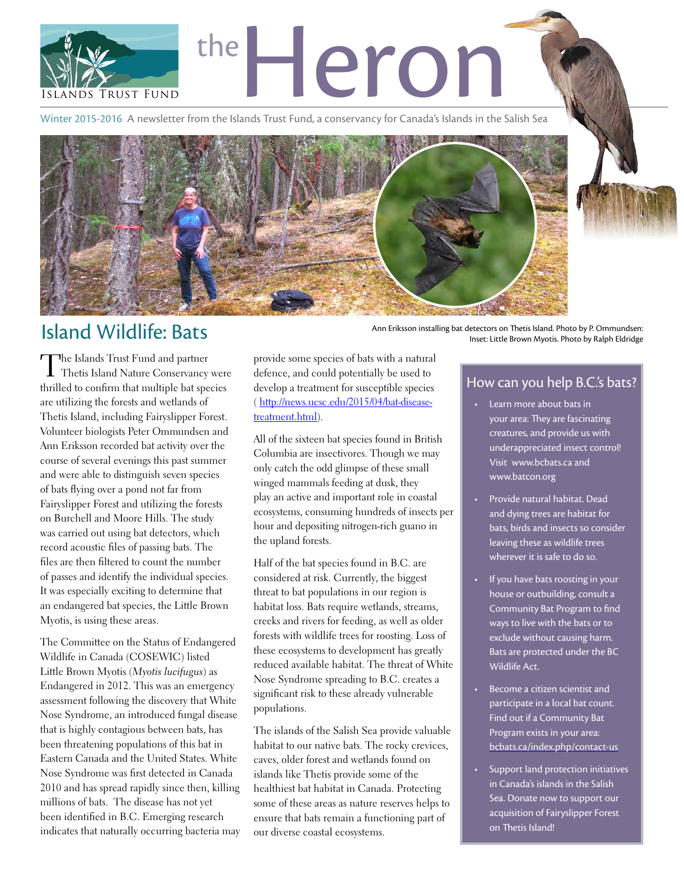

Winter 2015-2016 A newsletter from the Islands Trust Fund, a conservancy for Canada's Islands in the Salish Sea



## Island Wildlife: Bats Ann Eriksson installing bat detectors on Thetis Island. Photo by P. Ommundsen:

The Islands Trust Fund and partner Thetis Island Nature Conservancy were thrilled to confirm that multiple bat species are utilizing the forests and wetlands of Thetis Island, including Fairyslipper Forest. Volunteer biologists Peter Ommundsen and Ann Eriksson recorded bat activity over the course of several evenings this past summer and were able to distinguish seven species of bats flying over a pond not far from Fairyslipper Forest and utilizing the forests on Burchell and Moore Hills. The study was carried out using bat detectors, which record acoustic files of passing bats. The files are then filtered to count the number of passes and identify the individual species. It was especially exciting to determine that an endangered bat species, the Little Brown Myotis, is using these areas.

The Committee on the Status of Endangered Wildlife in Canada (COSEWIC) listed Little Brown Myotis (*Myotis lucifugus*) as Endangered in 2012. This was an emergency assessment following the discovery that White Nose Syndrome, an introduced fungal disease that is highly contagious between bats, has been threatening populations of this bat in Eastern Canada and the United States. White Nose Syndrome was first detected in Canada 2010 and has spread rapidly since then, killing millions of bats. The disease has not yet been identified in B.C. Emerging research indicates that naturally occurring bacteria may provide some species of bats with a natural defence, and could potentially be used to develop a treatment for susceptible species ( [http://news.ucsc.edu/2015/04/bat-disease](http://news.ucsc.edu/2015/04/bat-disease-treatment.html)[treatment.html\)](http://news.ucsc.edu/2015/04/bat-disease-treatment.html).

All of the sixteen bat species found in British Columbia are insectivores. Though we may only catch the odd glimpse of these small winged mammals feeding at dusk, they play an active and important role in coastal ecosystems, consuming hundreds of insects per hour and depositing nitrogen-rich guano in the upland forests.

Half of the bat species found in B.C. are considered at risk. Currently, the biggest threat to bat populations in our region is habitat loss. Bats require wetlands, streams, creeks and rivers for feeding, as well as older forests with wildlife trees for roosting. Loss of these ecosystems to development has greatly reduced available habitat. The threat of White Nose Syndrome spreading to B.C. creates a significant risk to these already vulnerable populations.

The islands of the Salish Sea provide valuable habitat to our native bats. The rocky crevices, caves, older forest and wetlands found on islands like Thetis provide some of the healthiest bat habitat in Canada. Protecting some of these areas as nature reserves helps to ensure that bats remain a functioning part of our diverse coastal ecosystems.

Inset: Little Brown Myotis. Photo by Ralph Eldridge

### How can you help B.C.'s bats?

- Learn more about bats in your area: They are fascinating creatures, and provide us with underappreciated insect control! Visit [www.bcbats.ca](http://www.bcbats.ca) and [www.batcon.org](http://www.batcon.org)
- Provide natural habitat. Dead and dying trees are habitat for bats, birds and insects so consider leaving these as wildlife trees wherever it is safe to do so.
- If you have bats roosting in your house or outbuilding, consult a Community Bat Program to find ways to live with the bats or to exclude without causing harm. Bats are protected under the BC Wildlife Act.
- • Become a citizen scientist and participate in a local bat count. Find out if a Community Bat Program exists in your area: [bcbats.ca/index.php/contact-us](http://bcbats.ca/index.php/contact-us)
- Support land protection initiatives in Canada's islands in the Salish Sea. Donate now to support our acquisition of Fairyslipper Forest on Thetis Island!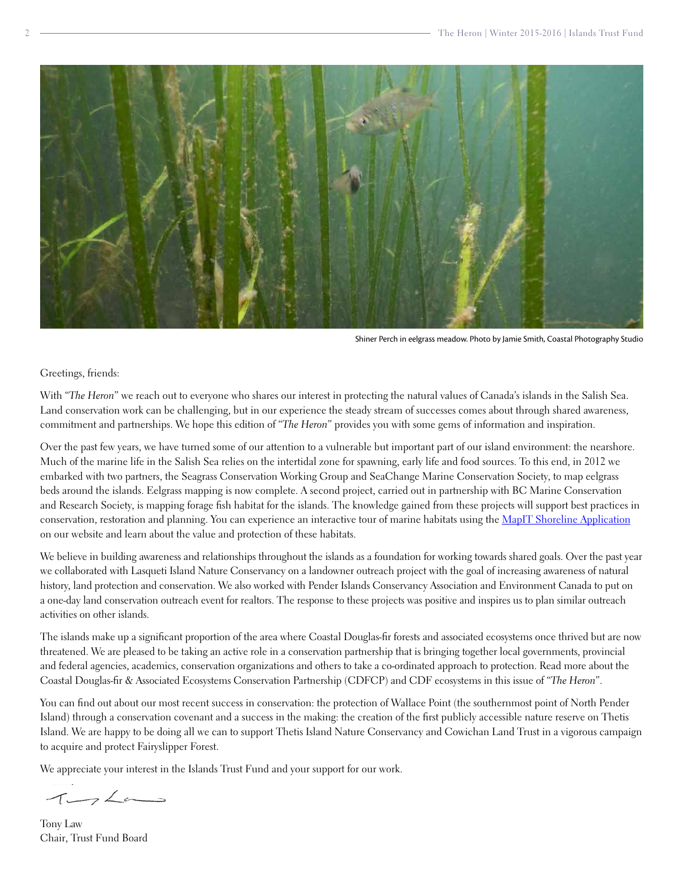

Shiner Perch in eelgrass meadow. Photo by Jamie Smith, Coastal Photography Studio

#### Greetings, friends:

With "*The Heron*" we reach out to everyone who shares our interest in protecting the natural values of Canada's islands in the Salish Sea. Land conservation work can be challenging, but in our experience the steady stream of successes comes about through shared awareness, commitment and partnerships. We hope this edition of "*The Heron*" provides you with some gems of information and inspiration.

Over the past few years, we have turned some of our attention to a vulnerable but important part of our island environment: the nearshore. Much of the marine life in the Salish Sea relies on the intertidal zone for spawning, early life and food sources. To this end, in 2012 we embarked with two partners, the Seagrass Conservation Working Group and SeaChange Marine Conservation Society, to map eelgrass beds around the islands. Eelgrass mapping is now complete. A second project, carried out in partnership with BC Marine Conservation and Research Society, is mapping forage fish habitat for the islands. The knowledge gained from these projects will support best practices in conservation, restoration and planning. You can experience an interactive tour of marine habitats using the [MapIT Shoreline Application](http://www.islandstrustfund.bc.ca/initiatives/marineconservation/eelgrass-mapping.aspx) on our website and learn about the value and protection of these habitats.

We believe in building awareness and relationships throughout the islands as a foundation for working towards shared goals. Over the past year we collaborated with Lasqueti Island Nature Conservancy on a landowner outreach project with the goal of increasing awareness of natural history, land protection and conservation. We also worked with Pender Islands Conservancy Association and Environment Canada to put on a one-day land conservation outreach event for realtors. The response to these projects was positive and inspires us to plan similar outreach activities on other islands.

The islands make up a significant proportion of the area where Coastal Douglas-fir forests and associated ecosystems once thrived but are now threatened. We are pleased to be taking an active role in a conservation partnership that is bringing together local governments, provincial and federal agencies, academics, conservation organizations and others to take a co-ordinated approach to protection. Read more about the Coastal Douglas-fir & Associated Ecosystems Conservation Partnership (CDFCP) and CDF ecosystems in this issue of "*The Heron*".

You can find out about our most recent success in conservation: the protection of Wallace Point (the southernmost point of North Pender Island) through a conservation covenant and a success in the making: the creation of the first publicly accessible nature reserve on Thetis Island. We are happy to be doing all we can to support Thetis Island Nature Conservancy and Cowichan Land Trust in a vigorous campaign to acquire and protect Fairyslipper Forest.

We appreciate your interest in the Islands Trust Fund and your support for our work.

 $1722$ 

Tony Law Chair, Trust Fund Board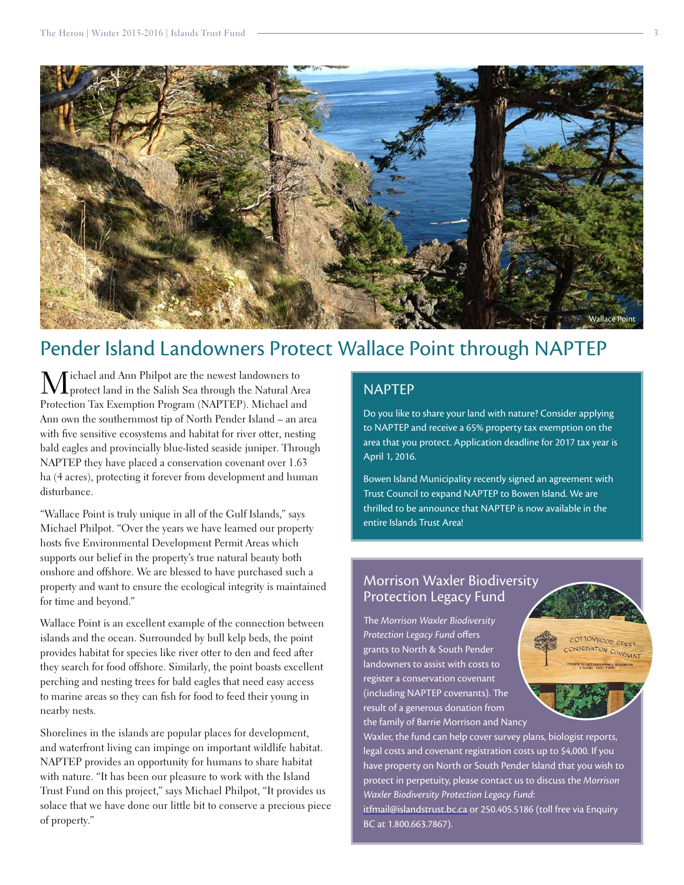

## Pender Island Landowners Protect Wallace Point through NAPTEP

 $\mathbf M$ ichael and Ann Philpot are the newest landowners to protect land in the Salish Sea through the Natural Area Protection Tax Exemption Program (NAPTEP). Michael and Ann own the southernmost tip of North Pender Island – an area with five sensitive ecosystems and habitat for river otter, nesting bald eagles and provincially blue-listed seaside juniper. Through NAPTEP they have placed a conservation covenant over 1.63 ha (4 acres), protecting it forever from development and human disturbance.

"Wallace Point is truly unique in all of the Gulf Islands," says Michael Philpot. "Over the years we have learned our property hosts five Environmental Development Permit Areas which supports our belief in the property's true natural beauty both onshore and offshore. We are blessed to have purchased such a property and want to ensure the ecological integrity is maintained for time and beyond."

Wallace Point is an excellent example of the connection between islands and the ocean. Surrounded by bull kelp beds, the point provides habitat for species like river otter to den and feed after they search for food offshore. Similarly, the point boasts excellent perching and nesting trees for bald eagles that need easy access to marine areas so they can fish for food to feed their young in nearby nests.

Shorelines in the islands are popular places for development, and waterfront living can impinge on important wildlife habitat. NAPTEP provides an opportunity for humans to share habitat with nature. "It has been our pleasure to work with the Island Trust Fund on this project," says Michael Philpot, "It provides us solace that we have done our little bit to conserve a precious piece of property."

## NAPTEP

Do you like to share your land with nature? Consider applying to NAPTEP and receive a 65% property tax exemption on the area that you protect. Application deadline for 2017 tax year is April 1, 2016.

Bowen Island Municipality recently signed an agreement with Trust Council to expand NAPTEP to Bowen Island. We are thrilled to be announce that NAPTEP is now available in the entire Islands Trust Area!

### Morrison Waxler Biodiversity Protection Legacy Fund

The *Morrison Waxler Biodiversity Protection Legacy Fund* offers grants to North & South Pender landowners to assist with costs to register a conservation covenant (including NAPTEP covenants). The result of a generous donation from the family of Barrie Morrison and Nancy

Waxler, the fund can help cover survey plans, biologist reports, legal costs and covenant registration costs up to \$4,000. If you have property on North or South Pender Island that you wish to protect in perpetuity, please contact us to discuss the *Morrison Waxler Biodiversity Protection Legacy Fund*:

COTTOMWOOD CREEK ON TOWWOOD CREEK

[itfmail@islandstrust.bc.ca](mailto:itfmail@islandstrust.bc.ca) or 250.405.5186 (toll free via Enquiry BC at 1.800.663.7867).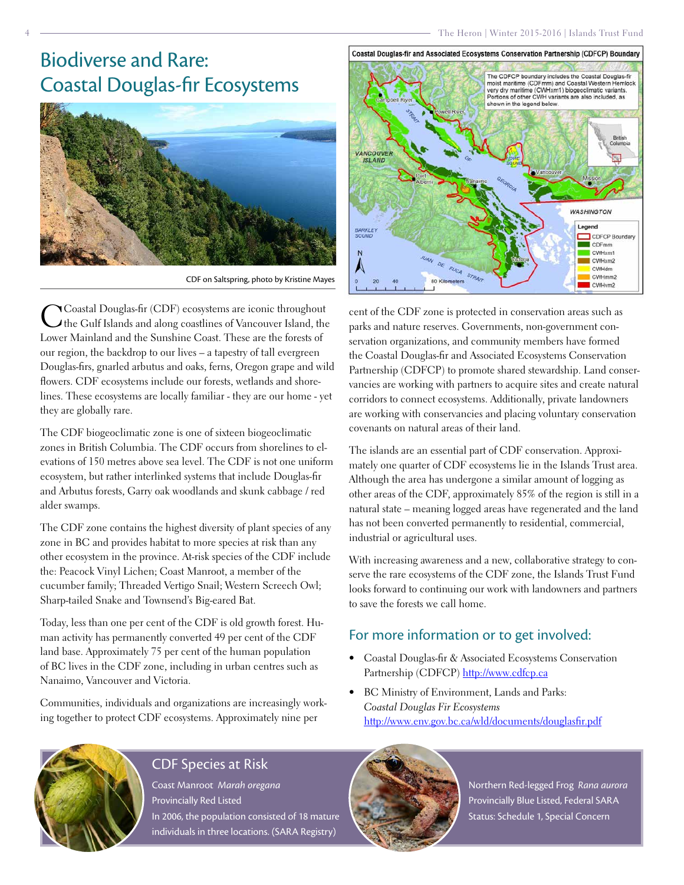## Biodiverse and Rare: Coastal Douglas-fir Ecosystems

4



CDF on Saltspring, photo by Kristine Mayes

CCoastal Douglas-fir (CDF) ecosystems are iconic throughout the Gulf Islands and along coastlines of Vancouver Island, the Lower Mainland and the Sunshine Coast. These are the forests of our region, the backdrop to our lives – a tapestry of tall evergreen Douglas-firs, gnarled arbutus and oaks, ferns, Oregon grape and wild flowers. CDF ecosystems include our forests, wetlands and shorelines. These ecosystems are locally familiar - they are our home - yet they are globally rare.

The CDF biogeoclimatic zone is one of sixteen biogeoclimatic zones in British Columbia. The CDF occurs from shorelines to elevations of 150 metres above sea level. The CDF is not one uniform ecosystem, but rather interlinked systems that include Douglas-fir and Arbutus forests, Garry oak woodlands and skunk cabbage / red alder swamps.

The CDF zone contains the highest diversity of plant species of any zone in BC and provides habitat to more species at risk than any other ecosystem in the province. At-risk species of the CDF include the: Peacock Vinyl Lichen; Coast Manroot, a member of the cucumber family; Threaded Vertigo Snail; Western Screech Owl; Sharp-tailed Snake and Townsend's Big-eared Bat.

Today, less than one per cent of the CDF is old growth forest. Human activity has permanently converted 49 per cent of the CDF land base. Approximately 75 per cent of the human population of BC lives in the CDF zone, including in urban centres such as Nanaimo, Vancouver and Victoria.

Communities, individuals and organizations are increasingly working together to protect CDF ecosystems. Approximately nine per



cent of the CDF zone is protected in conservation areas such as parks and nature reserves. Governments, non-government conservation organizations, and community members have formed the Coastal Douglas-fir and Associated Ecosystems Conservation Partnership (CDFCP) to promote shared stewardship. Land conservancies are working with partners to acquire sites and create natural corridors to connect ecosystems. Additionally, private landowners are working with conservancies and placing voluntary conservation covenants on natural areas of their land.

The islands are an essential part of CDF conservation. Approximately one quarter of CDF ecosystems lie in the Islands Trust area. Although the area has undergone a similar amount of logging as other areas of the CDF, approximately 85% of the region is still in a natural state – meaning logged areas have regenerated and the land has not been converted permanently to residential, commercial, industrial or agricultural uses.

With increasing awareness and a new, collaborative strategy to conserve the rare ecosystems of the CDF zone, the Islands Trust Fund looks forward to continuing our work with landowners and partners to save the forests we call home.

## For more information or to get involved:

- • Coastal Douglas-fir & Associated Ecosystems Conservation Partnership (CDFCP)<http://www.cdfcp.ca>
- • BC Ministry of Environment, Lands and Parks: *Coastal Douglas Fir Ecosystems* <http://www.env.gov.bc.ca/wld/documents/douglasfir.pdf>



## CDF Species at Risk

Coast Manroot *Marah oregana* Provincially Red Listed In 2006, the population consisted of 18 mature individuals in three locations. (SARA Registry)



Northern Red-legged Frog *Rana aurora* Provincially Blue Listed, Federal SARA Status: Schedule 1, Special Concern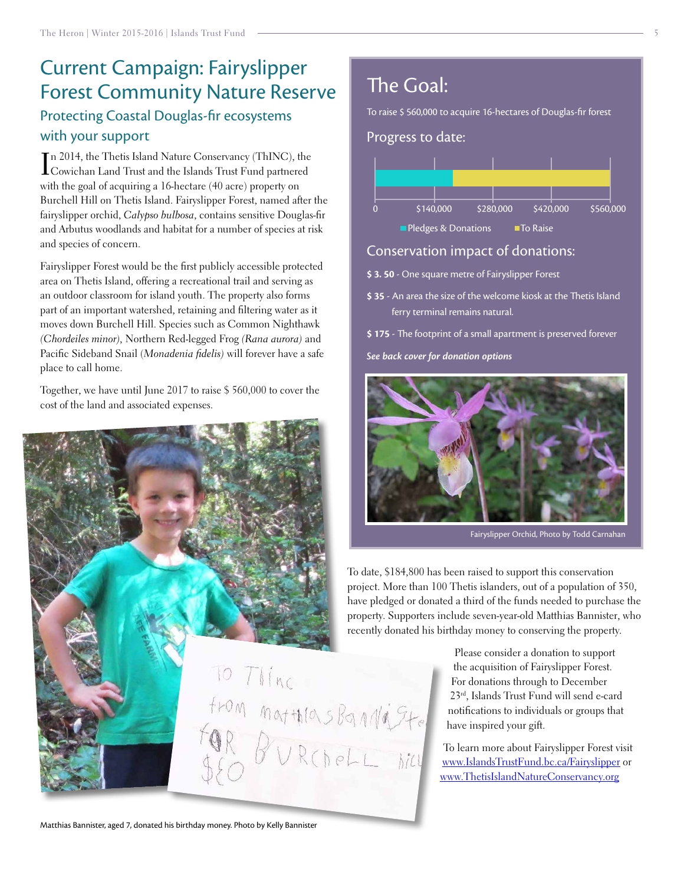## Current Campaign: Fairyslipper Forest Community Nature Reserve Protecting Coastal Douglas-fir ecosystems with your support

I Cowichan Land Trust and the Islands Trust Fund partnered n 2014, the Thetis Island Nature Conservancy (ThINC), the with the goal of acquiring a 16-hectare (40 acre) property on Burchell Hill on Thetis Island. Fairyslipper Forest, named after the fairyslipper orchid, *Calypso bulbosa*, contains sensitive Douglas-fir and Arbutus woodlands and habitat for a number of species at risk and species of concern.

Fairyslipper Forest would be the first publicly accessible protected area on Thetis Island, offering a recreational trail and serving as an outdoor classroom for island youth. The property also forms part of an important watershed, retaining and filtering water as it moves down Burchell Hill. Species such as Common Nighthawk *(Chordeiles minor),* Northern Red-legged Frog *(Rana aurora)* and Pacific Sideband Snail (*Monadenia fidelis)* will forever have a safe place to call home.

Together, we have until June 2017 to raise \$ 560,000 to cover the cost of the land and associated expenses.



## The Goal:

To raise \$ 560,000 to acquire 16-hectares of Douglas-fir forest

Progress to date:



## Conservation impact of donations:

- **\$ 3. 50** One square metre of Fairyslipper Forest
- **\$ 35** An area the size of the welcome kiosk at the Thetis Island ferry terminal remains natural.
- **\$ 175** The footprint of a small apartment is preserved forever

*See back cover for donation options* 



Fairyslipper Orchid, Photo by Todd Carnahan

To date, \$184,800 has been raised to support this conservation project. More than 100 Thetis islanders, out of a population of 350, have pledged or donated a third of the funds needed to purchase the property. Supporters include seven-year-old Matthias Bannister, who recently donated his birthday money to conserving the property.

> Please consider a donation to support the acquisition of Fairyslipper Forest. For donations through to December 23rd, Islands Trust Fund will send e-card notifications to individuals or groups that have inspired your gift.

To learn more about Fairyslipper Forest visit [www.IslandsTrustFund.bc.ca/Fairyslipper](http://www.IslandsTrustFund.bc.ca/Fairyslipper) or [www.ThetisIslandNatureConservancy.org](http://www.ThetisIslandNatureConservancy.org)

Matthias Bannister, aged 7, donated his birthday money. Photo by Kelly Bannister

from mathias Bandaste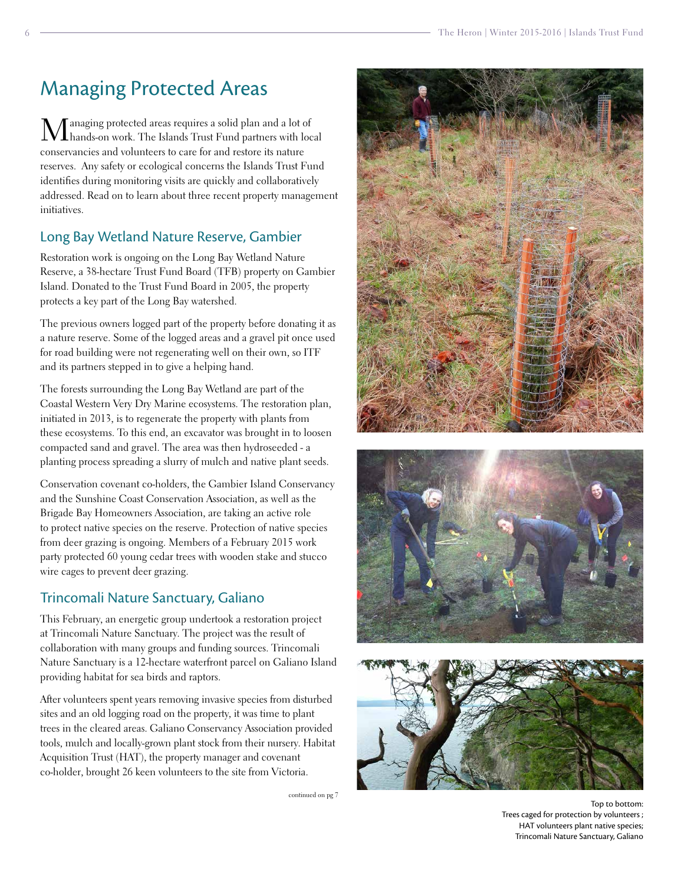## Managing Protected Areas

anaging protected areas requires a solid plan and a lot of hands-on work. The Islands Trust Fund partners with local conservancies and volunteers to care for and restore its nature reserves. Any safety or ecological concerns the Islands Trust Fund identifies during monitoring visits are quickly and collaboratively addressed. Read on to learn about three recent property management initiatives.

## Long Bay Wetland Nature Reserve, Gambier

Restoration work is ongoing on the Long Bay Wetland Nature Reserve, a 38-hectare Trust Fund Board (TFB) property on Gambier Island. Donated to the Trust Fund Board in 2005, the property protects a key part of the Long Bay watershed.

The previous owners logged part of the property before donating it as a nature reserve. Some of the logged areas and a gravel pit once used for road building were not regenerating well on their own, so ITF and its partners stepped in to give a helping hand.

The forests surrounding the Long Bay Wetland are part of the Coastal Western Very Dry Marine ecosystems. The restoration plan, initiated in 2013, is to regenerate the property with plants from these ecosystems. To this end, an excavator was brought in to loosen compacted sand and gravel. The area was then hydroseeded - a planting process spreading a slurry of mulch and native plant seeds.

Conservation covenant co-holders, the Gambier Island Conservancy and the Sunshine Coast Conservation Association, as well as the Brigade Bay Homeowners Association, are taking an active role to protect native species on the reserve. Protection of native species from deer grazing is ongoing. Members of a February 2015 work party protected 60 young cedar trees with wooden stake and stucco wire cages to prevent deer grazing.

## Trincomali Nature Sanctuary, Galiano

This February, an energetic group undertook a restoration project at Trincomali Nature Sanctuary. The project was the result of collaboration with many groups and funding sources. Trincomali Nature Sanctuary is a 12-hectare waterfront parcel on Galiano Island providing habitat for sea birds and raptors.

After volunteers spent years removing invasive species from disturbed sites and an old logging road on the property, it was time to plant trees in the cleared areas. Galiano Conservancy Association provided tools, mulch and locally-grown plant stock from their nursery. Habitat Acquisition Trust (HAT), the property manager and covenant co-holder, brought 26 keen volunteers to the site from Victoria.

continued on pg 7







Top to bottom: Trees caged for protection by volunteers ; HAT volunteers plant native species; Trincomali Nature Sanctuary, Galiano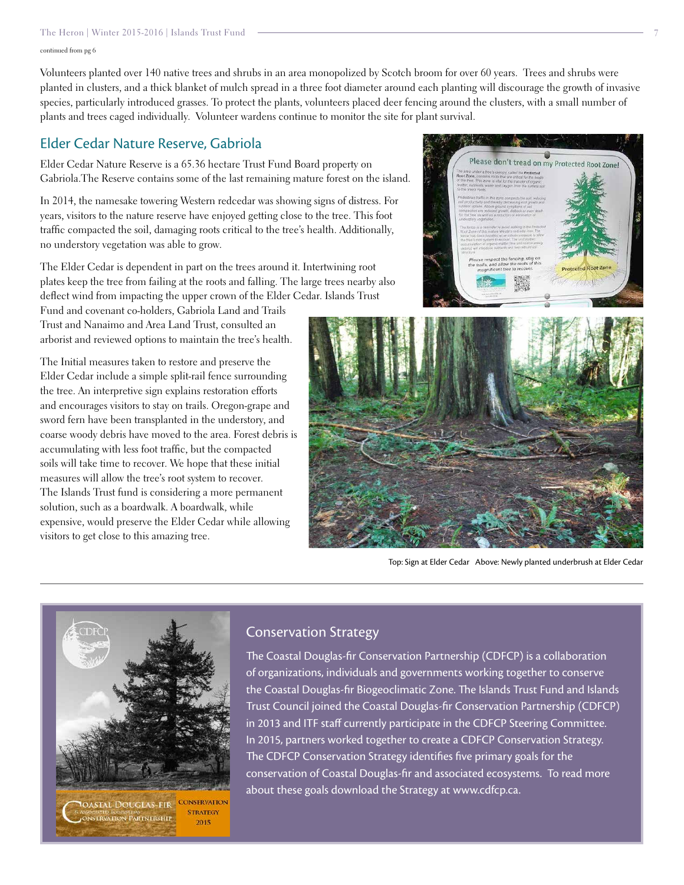#### The Heron | Winter 2015-2016 | Islands Trust Fund 7

continued from pg 6

Volunteers planted over 140 native trees and shrubs in an area monopolized by Scotch broom for over 60 years. Trees and shrubs were planted in clusters, and a thick blanket of mulch spread in a three foot diameter around each planting will discourage the growth of invasive species, particularly introduced grasses. To protect the plants, volunteers placed deer fencing around the clusters, with a small number of plants and trees caged individually. Volunteer wardens continue to monitor the site for plant survival.

### Elder Cedar Nature Reserve, Gabriola

Elder Cedar Nature Reserve is a 65.36 hectare Trust Fund Board property on Gabriola.The Reserve contains some of the last remaining mature forest on the island.

In 2014, the namesake towering Western redcedar was showing signs of distress. For years, visitors to the nature reserve have enjoyed getting close to the tree. This foot traffic compacted the soil, damaging roots critical to the tree's health. Additionally, no understory vegetation was able to grow.

The Elder Cedar is dependent in part on the trees around it. Intertwining root plates keep the tree from failing at the roots and falling. The large trees nearby also deflect wind from impacting the upper crown of the Elder Cedar. Islands Trust

Fund and covenant co-holders, Gabriola Land and Trails Trust and Nanaimo and Area Land Trust, consulted an arborist and reviewed options to maintain the tree's health.

The Initial measures taken to restore and preserve the Elder Cedar include a simple split-rail fence surrounding the tree. An interpretive sign explains restoration efforts and encourages visitors to stay on trails. Oregon-grape and sword fern have been transplanted in the understory, and coarse woody debris have moved to the area. Forest debris is accumulating with less foot traffic, but the compacted soils will take time to recover. We hope that these initial measures will allow the tree's root system to recover. The Islands Trust fund is considering a more permanent solution, such as a boardwalk. A boardwalk, while expensive, would preserve the Elder Cedar while allowing visitors to get close to this amazing tree.



Top: Sign at Elder Cedar Above: Newly planted underbrush at Elder Cedar

Please don't tread on my Protected Root Zone



### Conservation Strategy

The Coastal Douglas-fir Conservation Partnership (CDFCP) is a collaboration of organizations, individuals and governments working together to conserve the Coastal Douglas-fir Biogeoclimatic Zone. The Islands Trust Fund and Islands Trust Council joined the Coastal Douglas-fir Conservation Partnership (CDFCP) in 2013 and ITF staff currently participate in the CDFCP Steering Committee. In 2015, partners worked together to create a CDFCP Conservation Strategy. The CDFCP Conservation Strategy identifies five primary goals for the conservation of Coastal Douglas-fir and associated ecosystems. To read more about these goals download the Strategy at [www.cdfcp.ca](http://www.cdfcp.ca).